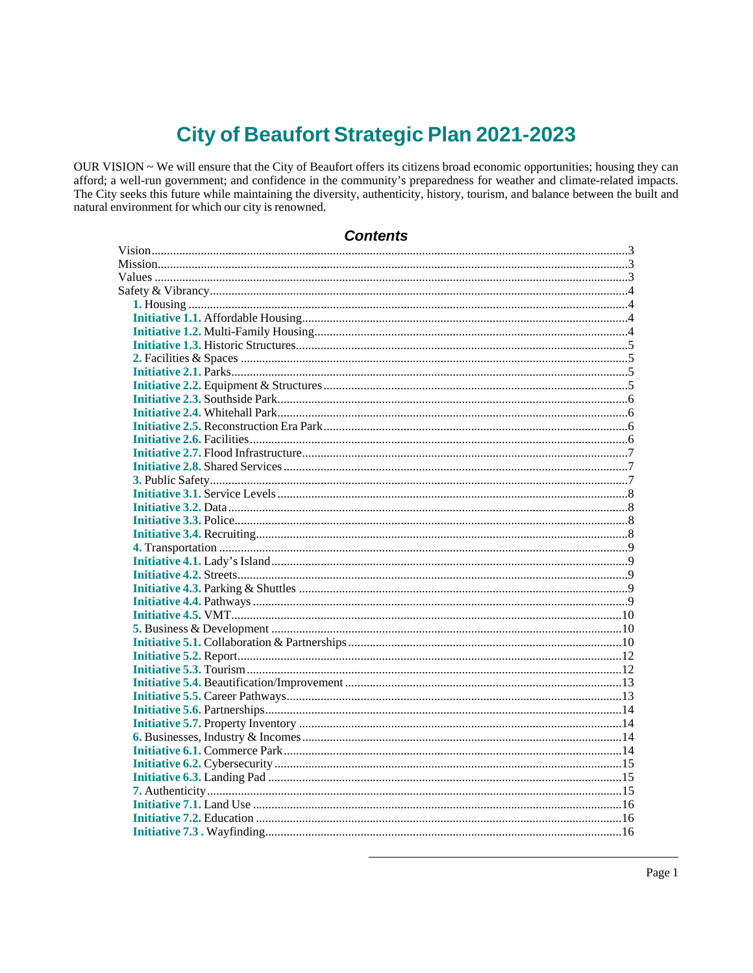# **City of Beaufort Strategic Plan 2021-2023**

OUR VISION ~ We will ensure that the City of Beaufort offers its citizens broad economic opportunities; housing they can afford; a well-run government; and confidence in the community's preparedness for weather and climate-related impacts. The City seeks this future while maintaining the diversity, authenticity, history, tourism, and balance between the built and natural environment for which our city is renowned.

| Contents |  |
|----------|--|
|          |  |
|          |  |
|          |  |
|          |  |
|          |  |
|          |  |
|          |  |
|          |  |
|          |  |
|          |  |
|          |  |
|          |  |
|          |  |
|          |  |
|          |  |
|          |  |
|          |  |
|          |  |
|          |  |
|          |  |
|          |  |
|          |  |
|          |  |
|          |  |
|          |  |
|          |  |
|          |  |
|          |  |
|          |  |
|          |  |
|          |  |
|          |  |
|          |  |
|          |  |
|          |  |
|          |  |
|          |  |
|          |  |
|          |  |
|          |  |
|          |  |
|          |  |
|          |  |
|          |  |
|          |  |

# Contante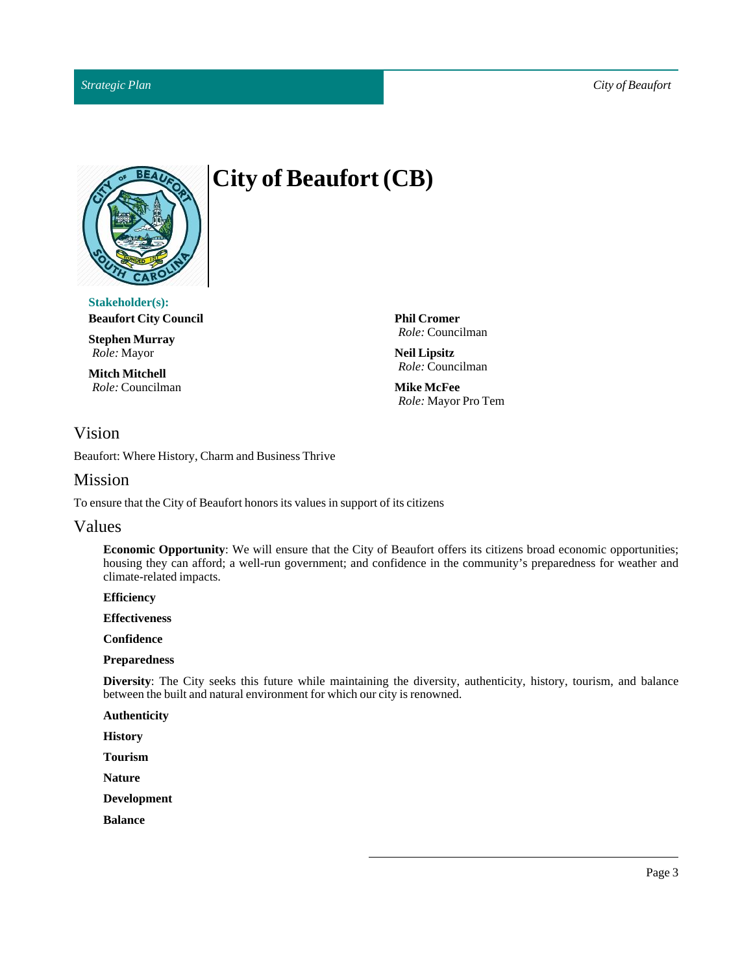

# $City of Beaufort (CB)$

**Stakeholder(s): Beaufort City Council**

**Stephen Murray** *Role:* Mayor

**Mitch Mitchell** *Role:* Councilman **Phil Cromer** *Role:* Councilman

**Neil Lipsitz** *Role:* Councilman

**Mike McFee** *Role:* Mayor Pro Tem

# <span id="page-2-0"></span>Vision

Beaufort: Where History, Charm and Business Thrive

# <span id="page-2-1"></span>Mission

To ensure that the City of Beaufort honors its values in support of its citizens

# <span id="page-2-2"></span>Values

**Economic Opportunity**: We will ensure that the City of Beaufort offers its citizens broad economic opportunities; housing they can afford; a well-run government; and confidence in the community's preparedness for weather and climate-related impacts.

**Efficiency**

**Effectiveness**

**Confidence**

#### **Preparedness**

**Diversity**: The City seeks this future while maintaining the diversity, authenticity, history, tourism, and balance between the built and natural environment for which our city is renowned.

**Authenticity**

**History**

**Tourism**

**Nature**

**Development**

**Balance**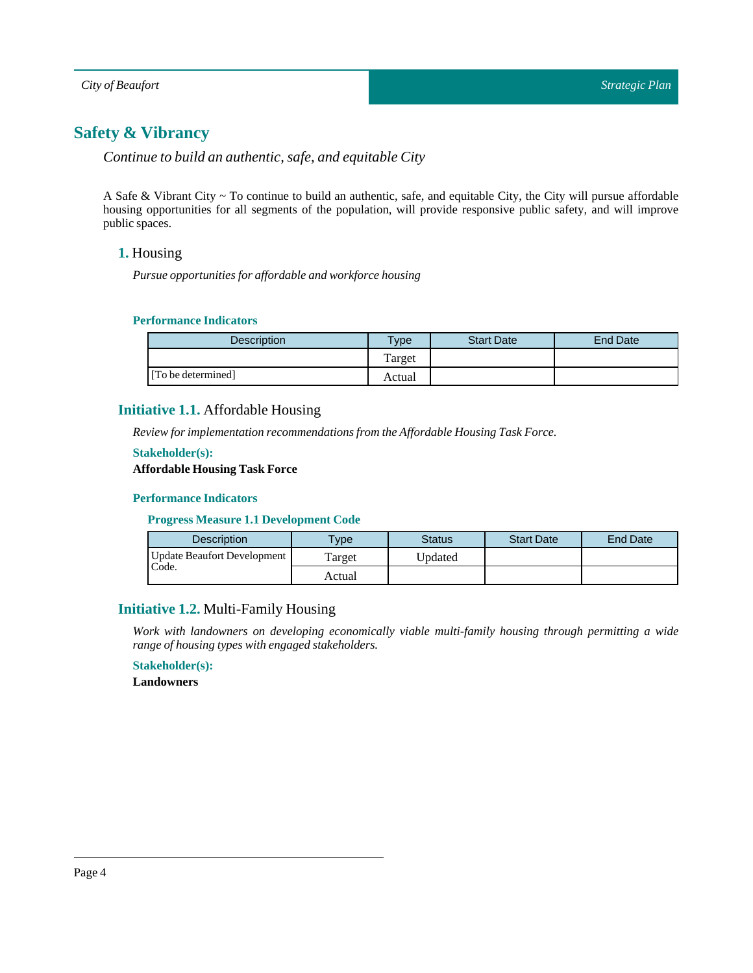# <span id="page-3-0"></span>**Safety & Vibrancy**

*Continue to build an authentic, safe, and equitable City*

<span id="page-3-1"></span>A Safe & Vibrant City ~ To continue to build an authentic, safe, and equitable City, the City will pursue affordable housing opportunities for all segments of the population, will provide responsive public safety, and will improve public spaces.

#### **1.** Housing

*Pursue opportunities for affordable and workforce housing*

#### **Performance Indicators**

| <b>Description</b> | vpe    | <b>Start Date</b> | End Date |
|--------------------|--------|-------------------|----------|
|                    | Target |                   |          |
| [To be determined] | Actual |                   |          |

#### <span id="page-3-2"></span>**Initiative 1.1.** Affordable Housing

*Review for implementation recommendations from the Affordable HousingTask Force.*

#### **Stakeholder(s):**

# **Affordable Housing Task Force**

#### **Performance Indicators**

**Progress Measure 1.1 Development Code**

| <b>Description</b>          | $T$ <sub>V</sub> $pe$ | <b>Status</b> | <b>Start Date</b> | <b>End Date</b> |
|-----------------------------|-----------------------|---------------|-------------------|-----------------|
| Update Beaufort Development | Target                | Jpdated       |                   |                 |
| Code.                       | Actual                |               |                   |                 |

# <span id="page-3-3"></span>**Initiative 1.2.** Multi-Family Housing

*Work with landowners on developing economically viable multi-family housing through permitting a wide range of housing types with engaged stakeholders.*

# **Stakeholder(s):**

**Landowners**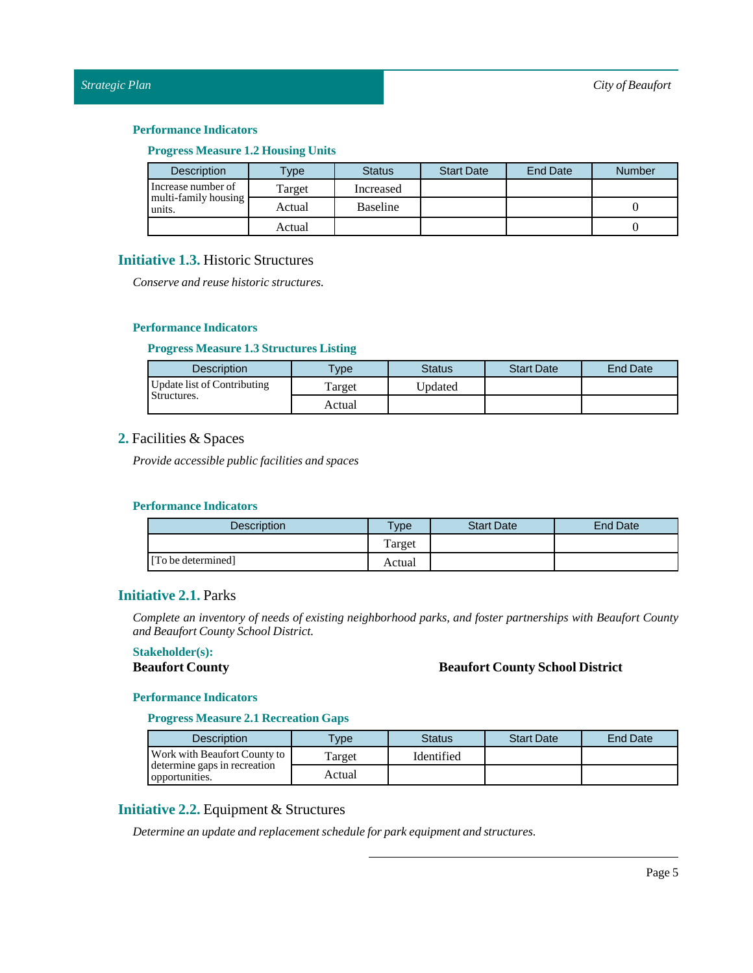#### **Progress Measure 1.2 Housing Units**

| <b>Description</b>             | $T$ ype | <b>Status</b> | <b>Start Date</b> | <b>End Date</b> | <b>Number</b> |
|--------------------------------|---------|---------------|-------------------|-----------------|---------------|
| Increase number of             | Target  | Increased     |                   |                 |               |
| multi-family housing<br>units. | Actual  | Baseline      |                   |                 |               |
|                                | Actual  |               |                   |                 |               |

### <span id="page-4-0"></span>**Initiative 1.3.** Historic Structures

*Conserve and reuse historic structures.*

#### **Performance Indicators**

#### **Progress Measure 1.3Structures Listing**

| <b>Description</b>          | <b>Type</b> | <b>Status</b> | <b>Start Date</b> | <b>End Date</b> |
|-----------------------------|-------------|---------------|-------------------|-----------------|
| Update list of Contributing | Target      | Updated       |                   |                 |
| Structures.                 | Actual      |               |                   |                 |

#### <span id="page-4-1"></span>**2.** Facilities & Spaces

*Provide accessible public facilities and spaces*

#### **Performance Indicators**

| Description        | $v$ pe | <b>Start Date</b> | End Date |
|--------------------|--------|-------------------|----------|
|                    | Target |                   |          |
| [To be determined] | Actual |                   |          |

# <span id="page-4-2"></span>**Initiative 2.1.** Parks

*Complete an inventory of needs of existing neighborhood parks, and foster partnerships with Beaufort County and Beaufort County School District.*

#### **Stakeholder(s):**

#### **Beaufort County Beaufort County School District**

#### **Performance Indicators**

**Progress Measure 2.1 Recreation Gaps**

| <b>Description</b>                             | vpe    | <b>Status</b> | <b>Start Date</b> | End Date |
|------------------------------------------------|--------|---------------|-------------------|----------|
| Work with Beaufort County to                   | Target | Identified    |                   |          |
| determine gaps in recreation<br>opportunities. | Actual |               |                   |          |

# <span id="page-4-3"></span>**Initiative 2.2.** Equipment & Structures

*Determine an update and replacement schedule for park equipment and structures.*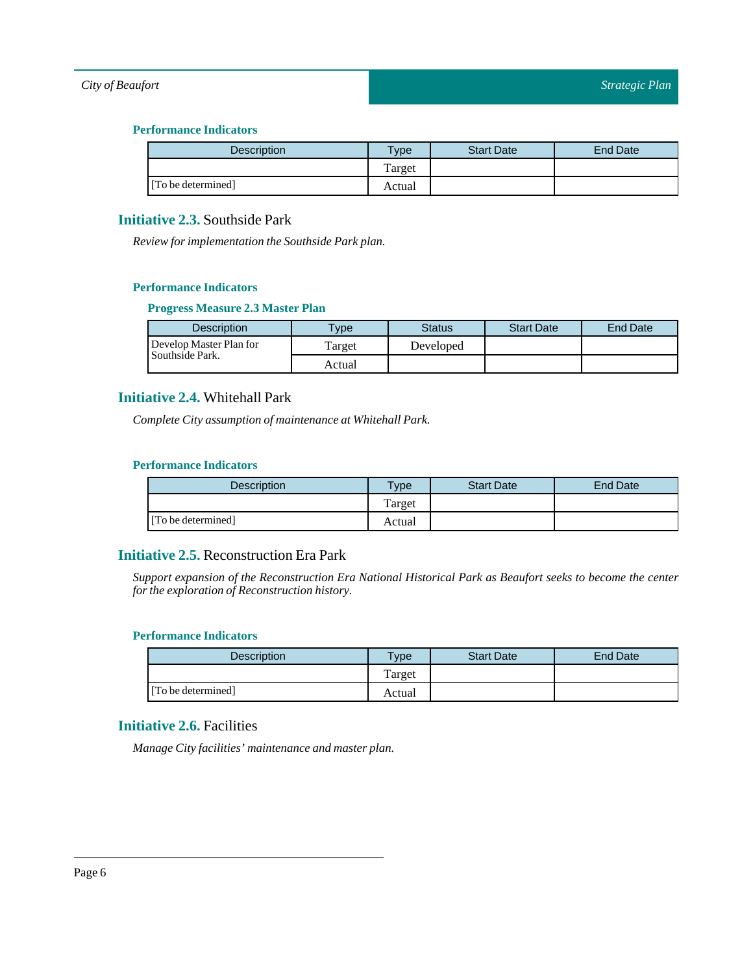#### **Performance Indicators**

| <b>Description</b> | $T$ ype | <b>Start Date</b> | <b>End Date</b> |
|--------------------|---------|-------------------|-----------------|
|                    | Target  |                   |                 |
| [To be determined] | Actual  |                   |                 |

# <span id="page-5-0"></span>**Initiative 2.3.** Southside Park

*Review for implementation the Southside Park plan.*

#### **Performance Indicators**

#### **Progress Measure 2.3 Master Plan**

| Description             | <b>Type</b> | <b>Status</b> | <b>Start Date</b> | <b>End Date</b> |
|-------------------------|-------------|---------------|-------------------|-----------------|
| Develop Master Plan for | Target      | Developed     |                   |                 |
| Southside Park.         | Actual      |               |                   |                 |

# <span id="page-5-1"></span>**Initiative 2.4.** Whitehall Park

*Complete City assumption of maintenance at Whitehall Park.*

#### **Performance Indicators**

| <b>Description</b> | <b>Type</b> | <b>Start Date</b> | <b>End Date</b> |
|--------------------|-------------|-------------------|-----------------|
|                    | Target      |                   |                 |
| [To be determined] | Actual      |                   |                 |

# <span id="page-5-2"></span>**Initiative 2.5.** Reconstruction Era Park

*Support expansion of the Reconstruction Era National Historical Park as Beaufort seeks to become the center for the exploration of Reconstruction history.*

# **Performance Indicators**

| <b>Description</b> | $T$ ype | <b>Start Date</b> | <b>End Date</b> |
|--------------------|---------|-------------------|-----------------|
|                    | Target  |                   |                 |
| [To be determined] | Actual  |                   |                 |

# <span id="page-5-3"></span>**Initiative 2.6.** Facilities

*Manage City facilities' maintenance and master plan.*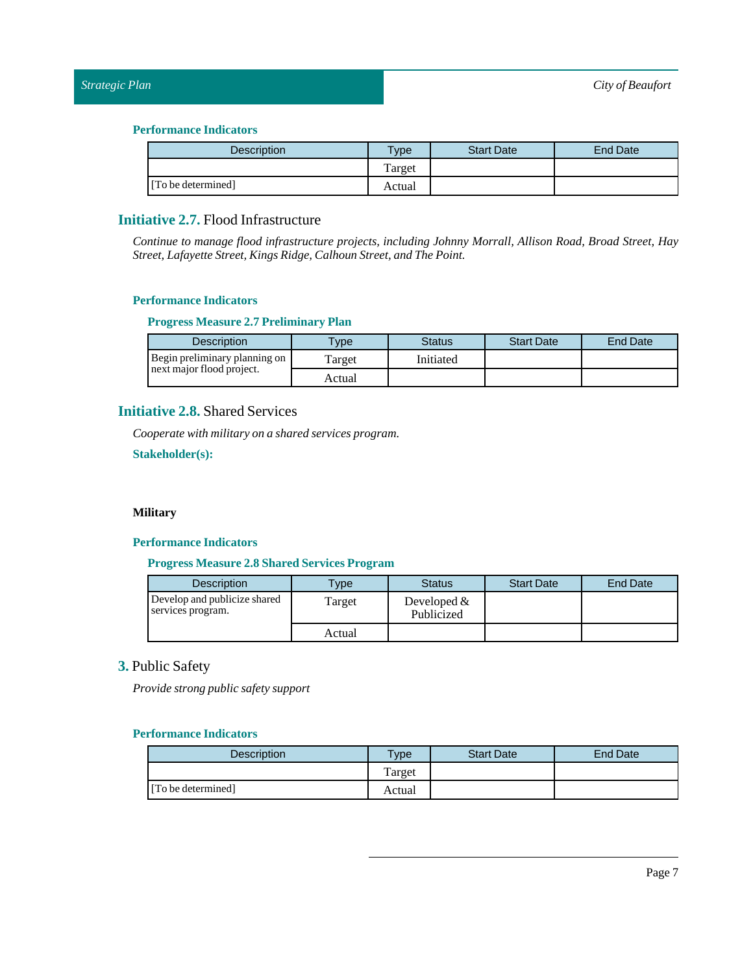| Description        | Type   | <b>Start Date</b> | <b>End Date</b> |
|--------------------|--------|-------------------|-----------------|
|                    | Target |                   |                 |
| [To be determined] | Actual |                   |                 |

# <span id="page-6-0"></span>**Initiative 2.7.** Flood Infrastructure

*Continue to manage flood infrastructure projects, including Johnny Morrall, Allison Road, Broad Street, Hay Street,Lafayette Street, Kings Ridge, Calhoun Street, andThe Point.*

#### **Performance Indicators**

#### **Progress Measure 2.7 Preliminary Plan**

| <b>Description</b>            | vpe    | Status    | <b>Start Date</b> | End Date |
|-------------------------------|--------|-----------|-------------------|----------|
| Begin preliminary planning on | Target | Initiated |                   |          |
| next major flood project.     | Actual |           |                   |          |

# <span id="page-6-1"></span>**Initiative 2.8.** Shared Services

*Cooperate with military on a shared services program.*

**Stakeholder(s):**

#### **Military**

#### **Performance Indicators**

#### **Progress Measure 2.8 Shared Services Program**

| <b>Description</b>                                | <b>Type</b> | Status                      | <b>Start Date</b> | End Date |
|---------------------------------------------------|-------------|-----------------------------|-------------------|----------|
| Develop and publicize shared<br>services program. | Target      | Developed $&$<br>Publicized |                   |          |
|                                                   | Actual      |                             |                   |          |

# <span id="page-6-2"></span>**3.** Public Safety

*Provide strong public safety support*

| <b>Description</b> | <b>VDe</b> | <b>Start Date</b> | <b>End Date</b> |
|--------------------|------------|-------------------|-----------------|
|                    | Target     |                   |                 |
| [To be determined] | Actual     |                   |                 |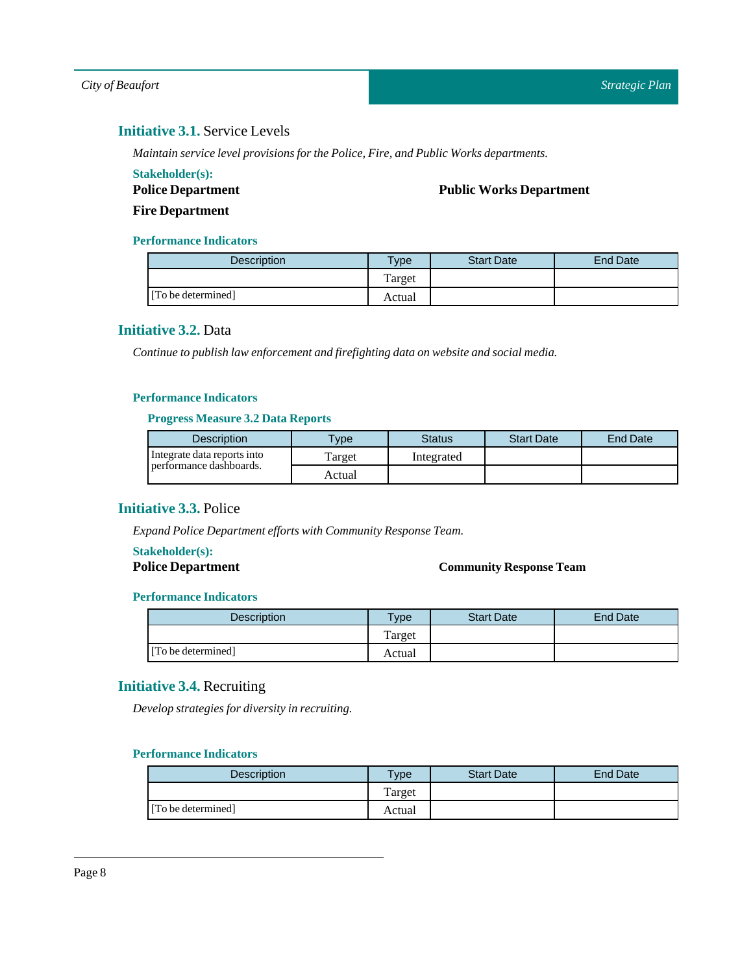# <span id="page-7-0"></span>**Initiative 3.1.** Service Levels

*Maintain service level provisions for the Police, Fire, and Public Works departments.*

#### **Stakeholder(s):**

**Police Department**

**Public Works Department**

**Fire Department**

#### **Performance Indicators**

| <b>Description</b> | <b>Type</b> | <b>Start Date</b> | End Date |
|--------------------|-------------|-------------------|----------|
|                    | Target      |                   |          |
| [To be determined] | Actual      |                   |          |

# <span id="page-7-1"></span>**Initiative 3.2.** Data

*Continue to publish law enforcement and firefighting data on website and social media.*

#### **Performance Indicators**

#### **Progress Measure 3.2 Data Reports**

| <b>Description</b>          | $T$ vpe | Status     | <b>Start Date</b> | End Date |
|-----------------------------|---------|------------|-------------------|----------|
| Integrate data reports into | Target  | Integrated |                   |          |
| performance dashboards.     | Actual  |            |                   |          |

# <span id="page-7-2"></span>**Initiative 3.3.** Police

*Expand Police Department efforts with Community Response Team.* 

# **Stakeholder(s):**

### **Police Department Community Response Team**

#### **Performance Indicators**

| <b>Description</b> | $T$ <sub>ype</sub> | <b>Start Date</b> | End Date |
|--------------------|--------------------|-------------------|----------|
|                    | Target             |                   |          |
| [To be determined] | Actual             |                   |          |

# <span id="page-7-3"></span>**Initiative 3.4.** Recruiting

*Develop strategies for diversity in recruiting.*

| <b>Description</b> | $T$ <sub>V</sub> $pe$ | <b>Start Date</b> | <b>End Date</b> |
|--------------------|-----------------------|-------------------|-----------------|
|                    | Target                |                   |                 |
| [To be determined] | Actual                |                   |                 |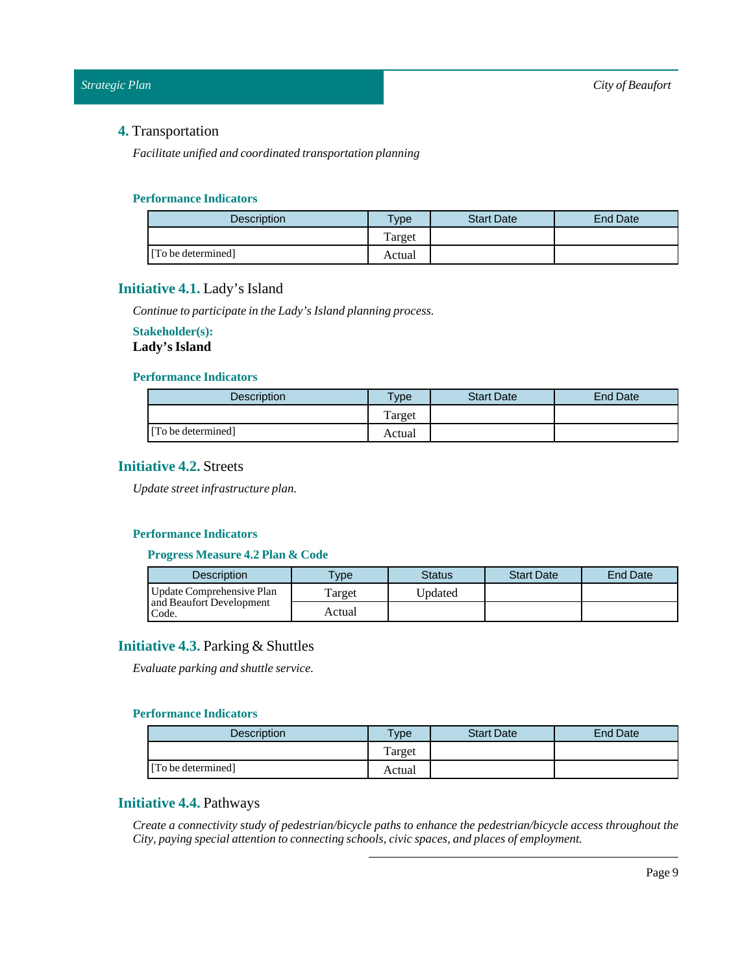# <span id="page-8-0"></span>**4.** Transportation

*Facilitate unified and coordinated transportation planning*

#### **Performance Indicators**

| <b>Description</b> | Type   | <b>Start Date</b> | End Date |
|--------------------|--------|-------------------|----------|
|                    | Target |                   |          |
| [To be determined] | Actual |                   |          |

### <span id="page-8-1"></span>**Initiative 4.1.** Lady's Island

*Continue to participate in theLady's Island planning process.*

# **Stakeholder(s):**

# Lady's Island

#### **Performance Indicators**

| Description        | $T$ <sub>V</sub> $pe$ | <b>Start Date</b> | End Date |
|--------------------|-----------------------|-------------------|----------|
|                    | Target                |                   |          |
| [To be determined] | Actual                |                   |          |

# <span id="page-8-2"></span>**Initiative 4.2.** Streets

*Update streetinfrastructure plan.*

# **Performance Indicators**

#### **Progress Measure 4.2 Plan & Code**

| <b>Description</b>                | <b>VDe</b> | Status  | <b>Start Date</b> | <b>End Date</b> |
|-----------------------------------|------------|---------|-------------------|-----------------|
| Update Comprehensive Plan         | Target     | Updated |                   |                 |
| and Beaufort Development<br>Code. | Actual     |         |                   |                 |

# <span id="page-8-3"></span>**Initiative 4.3.** Parking & Shuttles

*Evaluate parking and shuttle service.*

#### **Performance Indicators**

| <b>Description</b> | $T$ vpe | <b>Start Date</b> | <b>End Date</b> |
|--------------------|---------|-------------------|-----------------|
|                    | Target  |                   |                 |
| [To be determined] | Actual  |                   |                 |

# <span id="page-8-4"></span>**Initiative 4.4.** Pathways

*Create a connectivity study of pedestrian/bicycle paths to enhance the pedestrian/bicycle access throughout the City, paying special attention to connecting schools, civic spaces, and places of employment.*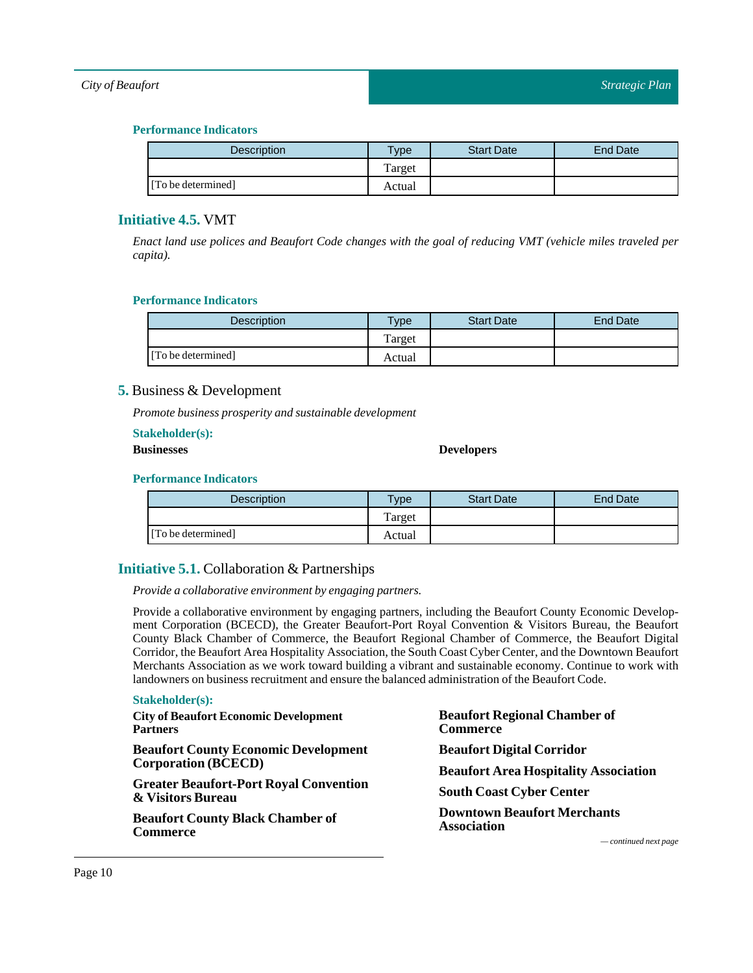#### **Performance Indicators**

| <b>Description</b> | Type   | <b>Start Date</b> | <b>End Date</b> |
|--------------------|--------|-------------------|-----------------|
|                    | Target |                   |                 |
| [To be determined] | Actual |                   |                 |

# <span id="page-9-0"></span>**Initiative 4.5.** VMT

Enact land use polices and Beaufort Code changes with the goal of reducing VMT (vehicle miles traveled per *capita).*

#### **Performance Indicators**

| Description        | $T$ vpe | <b>Start Date</b> | End Date |
|--------------------|---------|-------------------|----------|
|                    | Target  |                   |          |
| [To be determined] | Actual  |                   |          |

### <span id="page-9-1"></span>**5.** Business & Development

*Promote business prosperity and sustainable development*

**Stakeholder(s):**

#### **Businesses Developers**

#### **Performance Indicators**

| <b>Description</b> | <b>Vpe</b> | <b>Start Date</b> | <b>End Date</b> |
|--------------------|------------|-------------------|-----------------|
|                    | Target     |                   |                 |
| [To be determined] | Actual     |                   |                 |

# <span id="page-9-2"></span>**Initiative 5.1.** Collaboration & Partnerships

*Provide a collaborative environment by engaging partners.*

Provide a collaborative environment by engaging partners, including the Beaufort County Economic Development Corporation (BCECD), the Greater Beaufort-Port Royal Convention & Visitors Bureau, the Beaufort County Black Chamber of Commerce, the Beaufort Regional Chamber of Commerce, the Beaufort Digital Corridor, the Beaufort Area Hospitality Association, the South Coast Cyber Center, and the Downtown Beaufort Merchants Association as we work toward building a vibrant and sustainable economy. Continue to work with landowners on business recruitment and ensure the balanced administration of the Beaufort Code.

#### **Stakeholder(s):**

| <b>City of Beaufort Economic Development</b><br><b>Partners</b>                                                                  | <b>Beaufort Regional Chamber of</b><br>Commerce          |  |  |
|----------------------------------------------------------------------------------------------------------------------------------|----------------------------------------------------------|--|--|
| <b>Beaufort County Economic Development</b>                                                                                      | <b>Beaufort Digital Corridor</b>                         |  |  |
| <b>Corporation (BCECD)</b>                                                                                                       | <b>Beaufort Area Hospitality Association</b>             |  |  |
| <b>Greater Beaufort-Port Royal Convention</b><br>& Visitors Bureau<br><b>Beaufort County Black Chamber of</b><br><b>Commerce</b> | <b>South Coast Cyber Center</b>                          |  |  |
|                                                                                                                                  | <b>Downtown Beaufort Merchants</b><br><b>Association</b> |  |  |
|                                                                                                                                  | $\sim$ continued next page                               |  |  |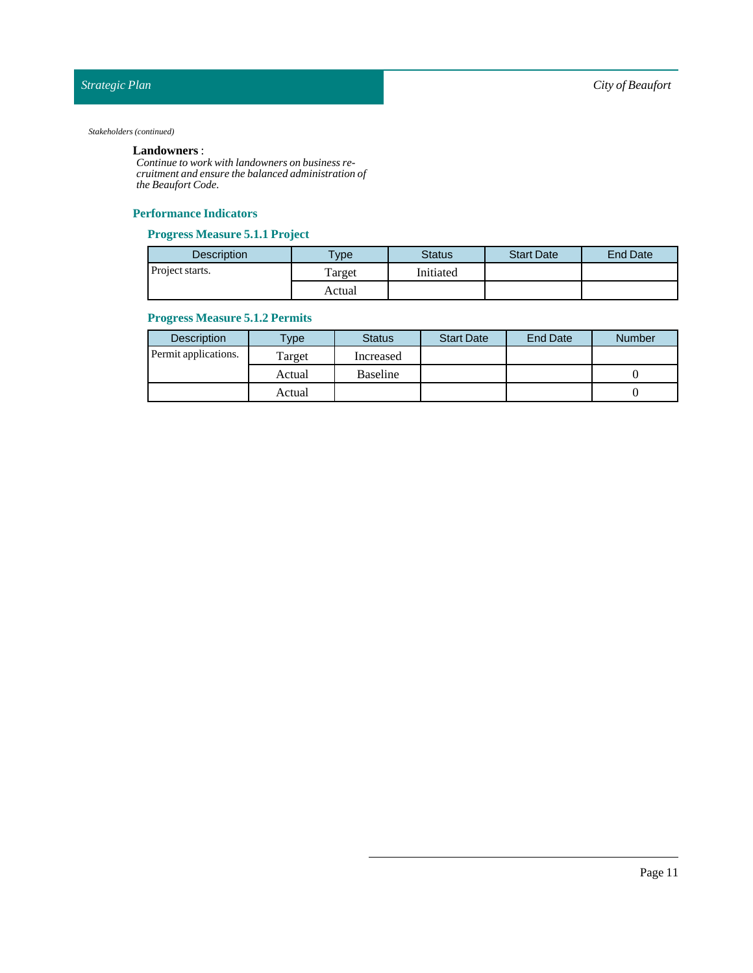#### *Stakeholders (continued)*

#### **Landowners** :

*Continue to work with landowners on business recruitment and ensure the balanced administration of the Beaufort Code.*

#### **Performance Indicators**

#### **Progress Measure 5.1.1 Project**

| <b>Description</b> | <b>Type</b> | <b>Status</b> | <b>Start Date</b> | <b>End Date</b> |
|--------------------|-------------|---------------|-------------------|-----------------|
| Project starts.    | Target      | Initiated     |                   |                 |
|                    | Actual      |               |                   |                 |

### **Progress Measure 5.1.2 Permits**

| Description          | Type   | <b>Status</b> | <b>Start Date</b> | <b>End Date</b> | <b>Number</b> |
|----------------------|--------|---------------|-------------------|-----------------|---------------|
| Permit applications. | Target | Increased     |                   |                 |               |
|                      | Actual | Baseline      |                   |                 |               |
|                      | Actual |               |                   |                 |               |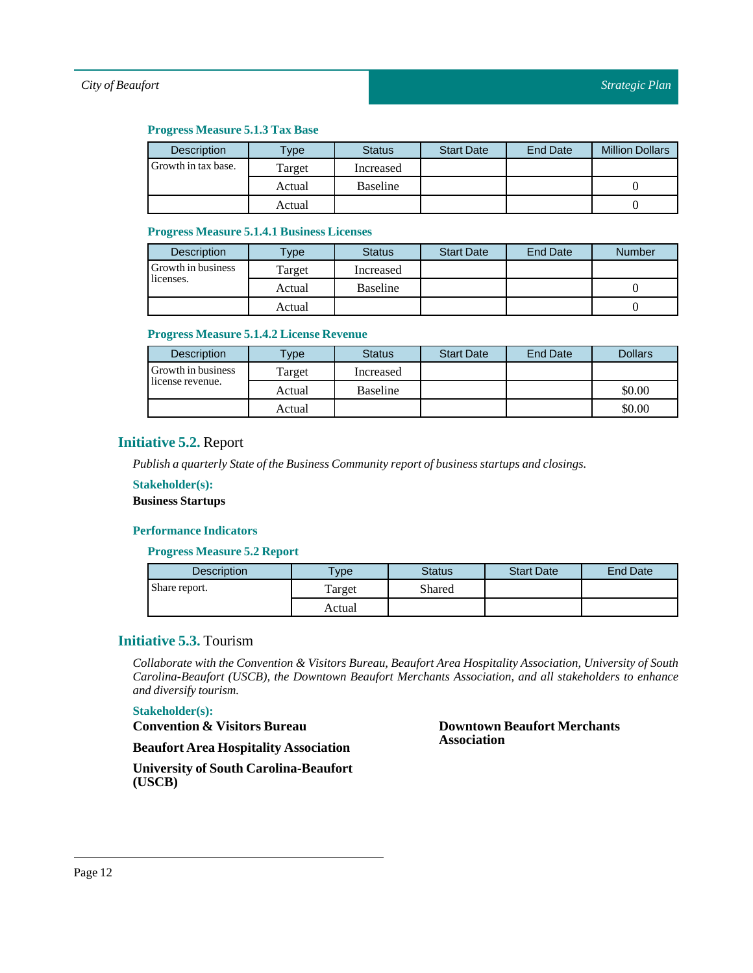#### **Progress Measure 5.1.3 Tax Base**

| Description         | Type   | <b>Status</b> | <b>Start Date</b> | <b>End Date</b> | <b>Million Dollars</b> |
|---------------------|--------|---------------|-------------------|-----------------|------------------------|
| Growth in tax base. | Target | Increased     |                   |                 |                        |
|                     | Actual | Baseline      |                   |                 |                        |
|                     | Actual |               |                   |                 |                        |

#### **Progress Measure 5.1.4.1 Business Licenses**

| <b>Description</b> | $T$ ype | <b>Status</b>   | <b>Start Date</b> | <b>End Date</b> | <b>Number</b> |
|--------------------|---------|-----------------|-------------------|-----------------|---------------|
| Growth in business | Target  | Increased       |                   |                 |               |
| licenses.          | Actual  | <b>Baseline</b> |                   |                 |               |
|                    | Actual  |                 |                   |                 |               |

#### **Progress Measure 5.1.4.2 License Revenue**

| <b>Description</b> | <b>Type</b> | <b>Status</b>   | <b>Start Date</b> | <b>End Date</b> | <b>Dollars</b> |
|--------------------|-------------|-----------------|-------------------|-----------------|----------------|
| Growth in business | Target      | Increased       |                   |                 |                |
| license revenue.   | Actual      | <b>Baseline</b> |                   |                 | \$0.00         |
|                    | Actual      |                 |                   |                 | \$0.00         |

# <span id="page-11-0"></span>**Initiative 5.2.** Report

*Publish a quarterly State ofthe Business Community report of business startups and closings.*

#### **Stakeholder(s):**

**Business Startups** 

#### **Performance Indicators**

**Progress Measure 5.2 Report**

| <b>Description</b> | <b>Type</b> | <b>Status</b> | <b>Start Date</b> | <b>End Date</b> |
|--------------------|-------------|---------------|-------------------|-----------------|
| Share report.      | Target      | Shared        |                   |                 |
|                    | Actual      |               |                   |                 |

#### <span id="page-11-1"></span>**Initiative 5.3.** Tourism

*Collaborate with the Convention & Visitors Bureau, Beaufort Area Hospitality Association, University of South Carolina-Beaufort (USCB), the Downtown Beaufort Merchants Association, and all stakeholders to enhance and diversify tourism.*

#### **Stakeholder(s):**

**Convention & Visitors Bureau**

**Beaufort Area Hospitality Association**

**University of South Carolina-Beaufort (USCB)**

**Downtown Beaufort Merchants Association**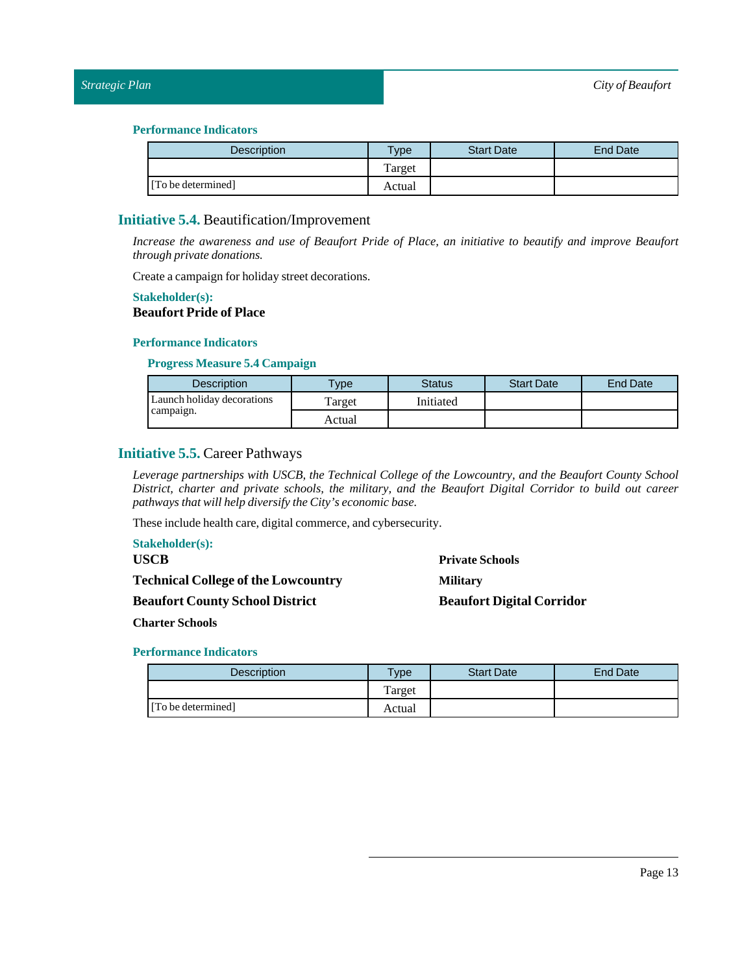| <b>Description</b> | <b>Type</b> | <b>Start Date</b> | <b>End Date</b> |
|--------------------|-------------|-------------------|-----------------|
|                    | Target      |                   |                 |
| [To be determined] | Actual      |                   |                 |

#### <span id="page-12-0"></span>**Initiative 5.4.** Beautification/Improvement

*Increase the awareness and use of Beaufort Pride of Place, an initiative to beautify and improve Beaufort through private donations.*

Create a campaign for holiday street decorations.

#### **Stakeholder(s):**

# **Beaufort Pride of Place**

#### **Performance Indicators**

**Progress Measure 5.4 Campaign**

| <b>Description</b>         | vpe    | Status    | <b>Start Date</b> | <b>End Date</b> |
|----------------------------|--------|-----------|-------------------|-----------------|
| Launch holiday decorations | Target | Initiated |                   |                 |
| campaign.                  | Actual |           |                   |                 |

# <span id="page-12-1"></span>**Initiative 5.5.** Career Pathways

*Leverage partnerships with USCB, the Technical College of the Lowcountry, and the Beaufort County School District, charter and private schools, the military, and the Beaufort Digital Corridor to build out career pathways that will help diversify the City's economic base.*

These include health care, digital commerce, and cybersecurity.

| <b>Stakeholder(s):</b>                     |                                  |
|--------------------------------------------|----------------------------------|
| <b>USCB</b>                                | <b>Private Schools</b>           |
| <b>Technical College of the Lowcountry</b> | <b>Military</b>                  |
| <b>Beaufort County School District</b>     | <b>Beaufort Digital Corridor</b> |

**Charter Schools** 

| <b>Description</b> | $T$ vpe | <b>Start Date</b> | <b>End Date</b> |
|--------------------|---------|-------------------|-----------------|
|                    | Target  |                   |                 |
| [To be determined] | Actual  |                   |                 |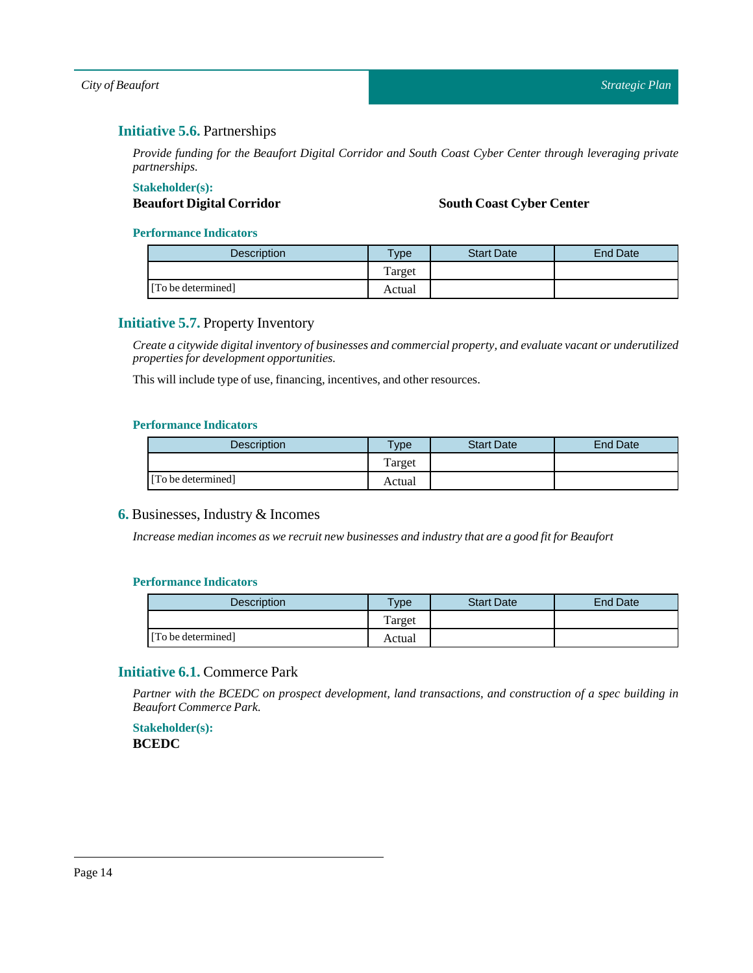# <span id="page-13-0"></span>**Initiative 5.6.** Partnerships

*Provide funding for the Beaufort Digital Corridor and South Coast Cyber Center through leveraging private partnerships.*

# **Stakeholder(s):**

# **Beaufort Digital Corridor South Coast Cyber Center**

#### **Performance Indicators**

| Description        | Type   | <b>Start Date</b> | End Date |
|--------------------|--------|-------------------|----------|
|                    | Target |                   |          |
| [To be determined] | Actual |                   |          |

# <span id="page-13-1"></span>**Initiative 5.7.** Property Inventory

*Create a citywide digitalinventory of businesses and commercial property, and evaluate vacant or underutilized properties for development opportunities.*

This will include type of use, financing, incentives, and other resources.

#### **Performance Indicators**

| <b>Description</b> | $T$ vpe | <b>Start Date</b> | <b>End Date</b> |
|--------------------|---------|-------------------|-----------------|
|                    | l'arget |                   |                 |
| [To be determined] | Actual  |                   |                 |

#### <span id="page-13-2"></span>**6.** Businesses, Industry & Incomes

*Increase median incomes as we recruit new businesses and industry that are a good fitfor Beaufort*

#### **Performance Indicators**

| <b>Description</b> | Type   | <b>Start Date</b> | End Date |
|--------------------|--------|-------------------|----------|
|                    | Target |                   |          |
| [To be determined] | Actual |                   |          |

# <span id="page-13-3"></span>**Initiative 6.1.** Commerce Park

*Partner with the BCEDC on prospect development, land transactions, and construction of a spec building in Beaufort Commerce Park.*

**Stakeholder(s): BCEDC**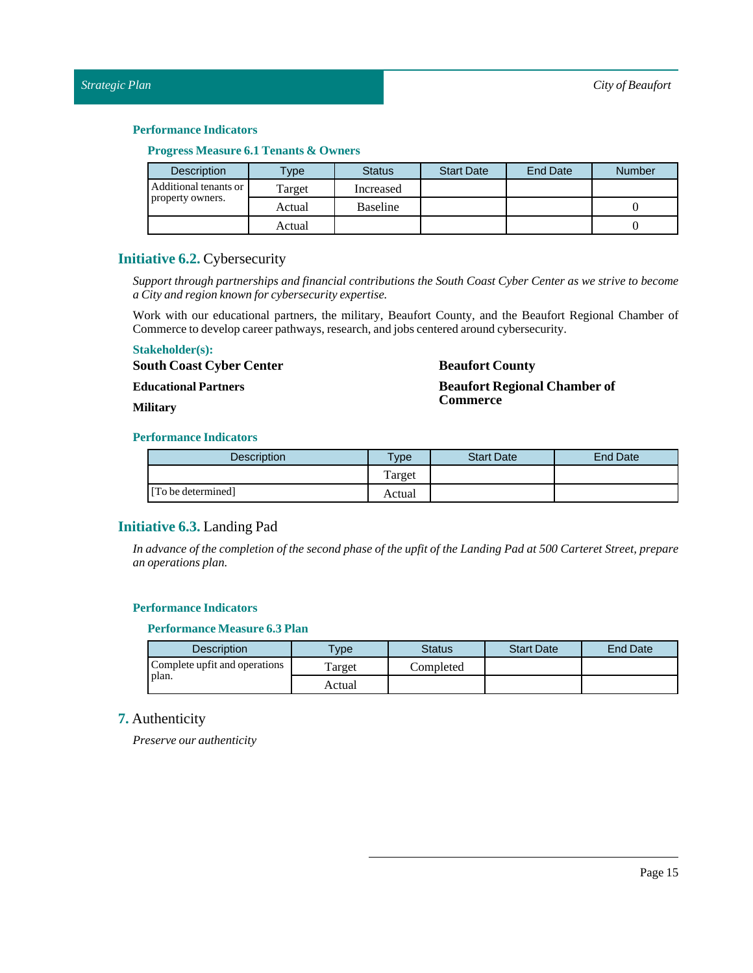#### **Progress Measure 6.1 Tenants & Owners**

| <b>Description</b>    | Type <sub>1</sub> | <b>Status</b>   | <b>Start Date</b> | <b>End Date</b> | <b>Number</b> |
|-----------------------|-------------------|-----------------|-------------------|-----------------|---------------|
| Additional tenants or | Target            | Increased       |                   |                 |               |
| property owners.      | Actual            | <b>Baseline</b> |                   |                 |               |
|                       | Actual            |                 |                   |                 |               |

### <span id="page-14-0"></span>**Initiative 6.2.** Cybersecurity

*Support through partnerships and financial contributions the South Coast Cyber Center as we strive to become a City and region known for cybersecurity expertise.*

Work with our educational partners, the military, Beaufort County, and the Beaufort Regional Chamber of Commerce to develop career pathways, research, and jobs centered around cybersecurity.

#### **Stakeholder(s):**

**South Coast Cyber Center**

**Educational Partners**

#### **Military**

### **Beaufort County**

**Beaufort Regional Chamber of Commerce**

#### **Performance Indicators**

| <b>Description</b> | <b>Type</b> | <b>Start Date</b> | <b>End Date</b> |
|--------------------|-------------|-------------------|-----------------|
|                    | Target      |                   |                 |
| [To be determined] | Actual      |                   |                 |

# <span id="page-14-1"></span>**Initiative 6.3.** Landing Pad

In advance of the completion of the second phase of the upfit of the Landing Pad at 500 Carteret Street, prepare *an operations plan.*

#### **Performance Indicators**

#### **Performance Measure 6.3 Plan**

| Description                   | <b>Type</b> | <b>Status</b> | <b>Start Date</b> | <b>End Date</b> |
|-------------------------------|-------------|---------------|-------------------|-----------------|
| Complete upfit and operations | Target      | Completed     |                   |                 |
| plan.                         | Actual      |               |                   |                 |

# <span id="page-14-2"></span>**7.** Authenticity

*Preserve our authenticity*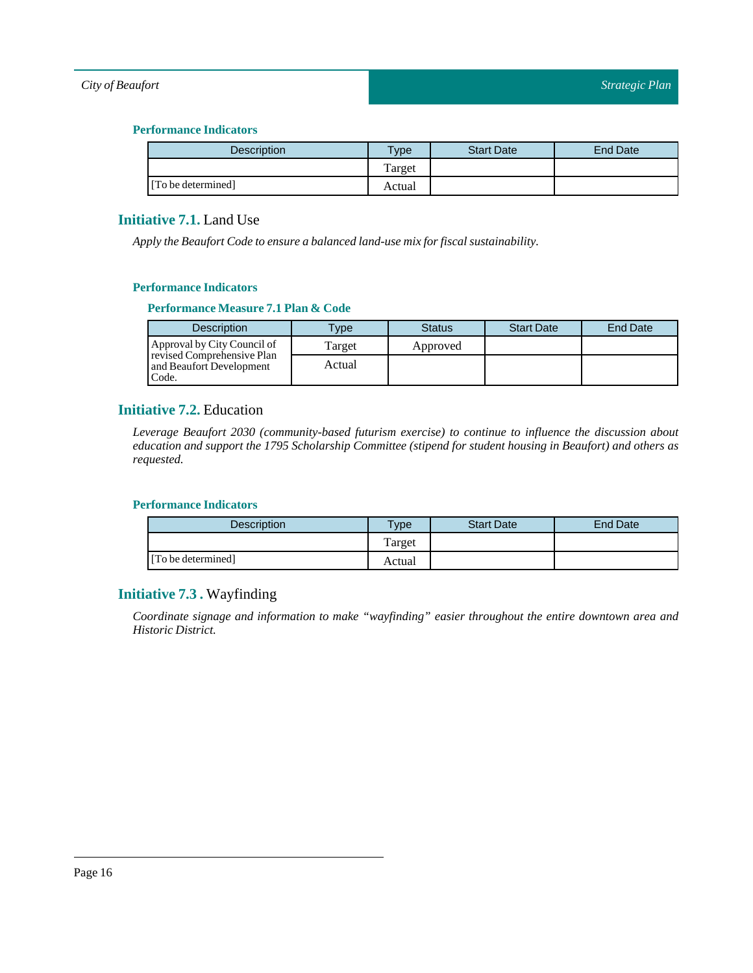#### **Performance Indicators**

| <b>Description</b> | <b>Type</b> | <b>Start Date</b> | <b>End Date</b> |
|--------------------|-------------|-------------------|-----------------|
|                    | Target      |                   |                 |
| [To be determined] | Actual      |                   |                 |

# <span id="page-15-0"></span>**Initiative 7.1.** Land Use

*Apply the Beaufort Code to ensure a balanced land-use mix for fiscal sustainability.*

#### **Performance Indicators**

#### **Performance Measure 7.1 Plan & Code**

| <b>Description</b>                                              | <b>Type</b> | <b>Status</b> | <b>Start Date</b> | <b>End Date</b> |
|-----------------------------------------------------------------|-------------|---------------|-------------------|-----------------|
| Approval by City Council of                                     | Target      | Approved      |                   |                 |
| revised Comprehensive Plan<br>and Beaufort Development<br>Code. | Actual      |               |                   |                 |

### <span id="page-15-1"></span>**Initiative 7.2.** Education

*Leverage Beaufort 2030 (community-based futurism exercise) to continue to influence the discussion about education and support the 1795 Scholarship Committee (stipend for student housing in Beaufort) and others as requested.*

#### **Performance Indicators**

| Description        | $T$ <sub>V</sub> pe | <b>Start Date</b> | End Date |
|--------------------|---------------------|-------------------|----------|
|                    | Target              |                   |          |
| [To be determined] | Actual              |                   |          |

# <span id="page-15-2"></span>**Initiative 7.3 .** Wayfinding

*Coordinate signage and information to make "wayfinding" easier throughout the entire downtown area and Historic District.*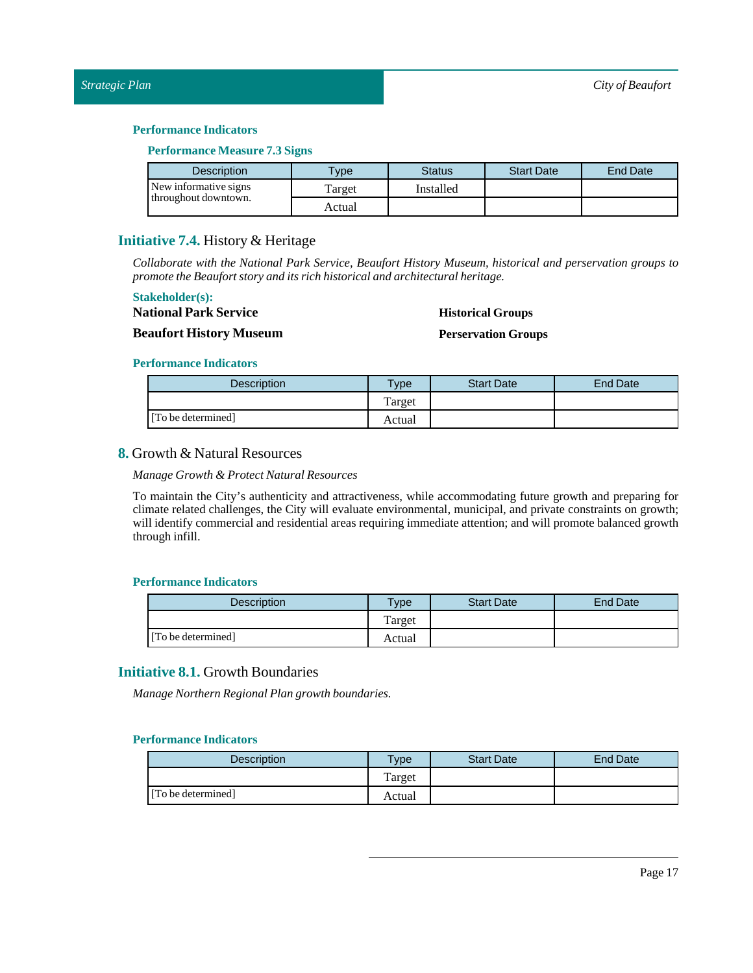#### **Performance Measure 7.3Signs**

| <b>Description</b>    | <b>VDe</b> | Status    | <b>Start Date</b> | End Date |
|-----------------------|------------|-----------|-------------------|----------|
| New informative signs | Target     | Installed |                   |          |
| throughout downtown.  | Actual     |           |                   |          |

#### <span id="page-16-0"></span>**Initiative 7.4.** History & Heritage

*Collaborate with the National Park Service, Beaufort History Museum, historical and perservation groups to promote the Beaufort story and its rich historical and architectural heritage.*

#### **Stakeholder(s):**

**National Park Service**

#### **Historical Groups**

#### **Beaufort History Museum**

#### **Perservation Groups**

#### **Performance Indicators**

| Description        | $T$ <sub>V</sub> $pe$ | <b>Start Date</b> | End Date |
|--------------------|-----------------------|-------------------|----------|
|                    | Target                |                   |          |
| [To be determined] | Actual                |                   |          |

# <span id="page-16-1"></span>**8.** Growth & Natural Resources

*Manage Growth & Protect Natural Resources*

To maintain the City's authenticity and attractiveness, while accommodating future growth and preparing for climate related challenges, the City will evaluate environmental, municipal, and private constraints on growth; will identify commercial and residential areas requiring immediate attention; and will promote balanced growth through infill.

#### **Performance Indicators**

| <b>Description</b> | Type    | <b>Start Date</b> | End Date |
|--------------------|---------|-------------------|----------|
|                    | l'arget |                   |          |
| [To be determined] | Actual  |                   |          |

# <span id="page-16-2"></span>**Initiative 8.1.** Growth Boundaries

*Manage Northern Regional Plan growth boundaries.*

| <b>Description</b> | <b>VDe</b> | <b>Start Date</b> | <b>End Date</b> |
|--------------------|------------|-------------------|-----------------|
|                    | Target     |                   |                 |
| [To be determined] | Actual     |                   |                 |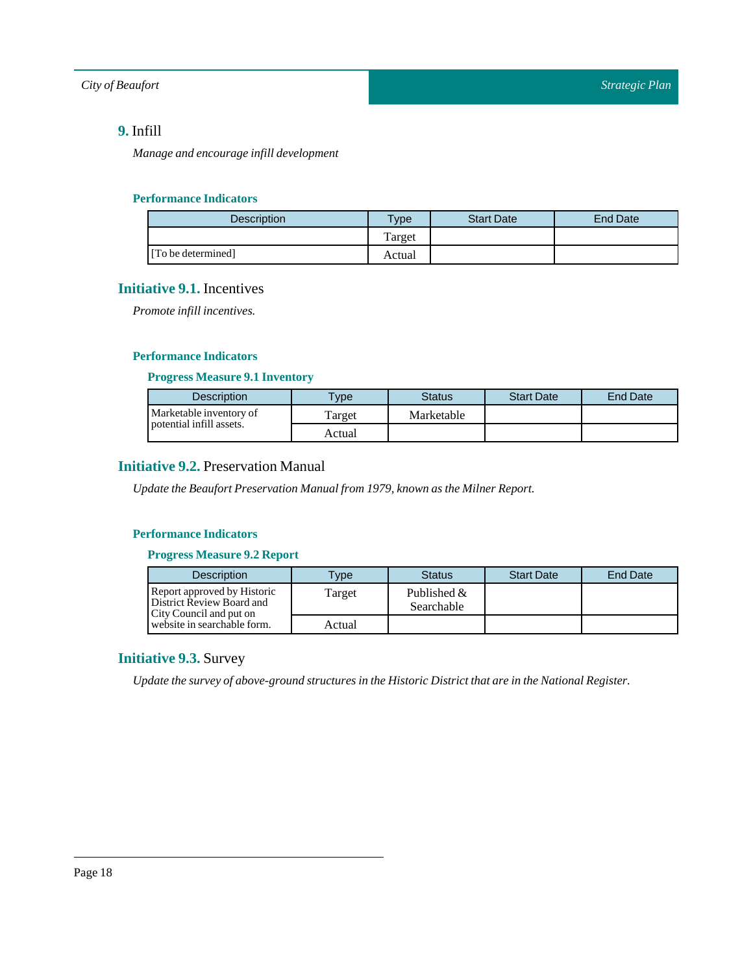# <span id="page-17-0"></span>**9.** Infill

*Manage and encourage infill development*

#### **Performance Indicators**

| <b>Description</b> | $v$ pe | <b>Start Date</b> | End Date |
|--------------------|--------|-------------------|----------|
|                    | Target |                   |          |
| [To be determined] | Actual |                   |          |

# <span id="page-17-1"></span>**Initiative 9.1.** Incentives

*Promote infill incentives.* 

#### **Performance Indicators**

#### **Progress Measure 9.1 Inventory**

| <b>Description</b>       | <b>VDe</b> | Status     | <b>Start Date</b> | <b>End Date</b> |
|--------------------------|------------|------------|-------------------|-----------------|
| Marketable inventory of  | Target     | Marketable |                   |                 |
| potential infill assets. | Actual     |            |                   |                 |

# <span id="page-17-2"></span>**Initiative 9.2.** Preservation Manual

*Update the Beaufort Preservation Manualfrom 1979, known as the Milner Report.*

#### **Performance Indicators**

#### **Progress Measure 9.2 Report**

| <b>Description</b>                                                                  | <b>Vpe</b> | <b>Status</b>                | <b>Start Date</b> | End Date |
|-------------------------------------------------------------------------------------|------------|------------------------------|-------------------|----------|
| Report approved by Historic<br>District Review Board and<br>City Council and put on | Target     | Published $\&$<br>Searchable |                   |          |
| website in searchable form.                                                         | Actual     |                              |                   |          |

# <span id="page-17-3"></span>**Initiative 9.3.** Survey

*Update the survey of above-ground structures in the Historic Districtthat are in the National Register.*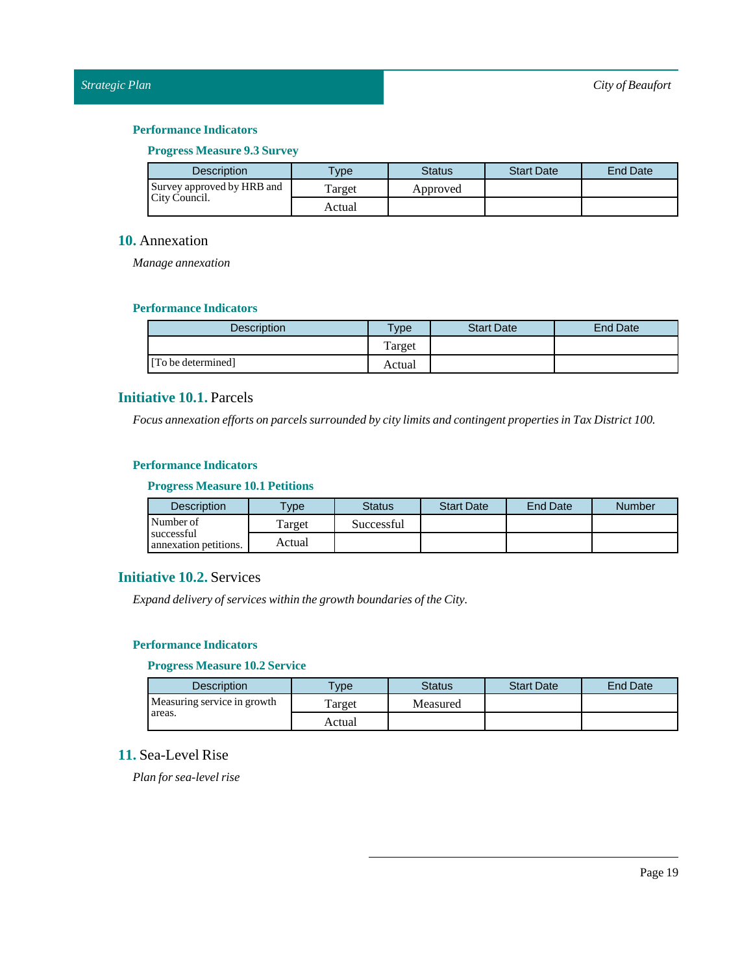#### **Progress Measure 9.3Survey**

| <b>Description</b>         | <b>Type</b> | Status   | <b>Start Date</b> | <b>End Date</b> |
|----------------------------|-------------|----------|-------------------|-----------------|
| Survey approved by HRB and | Target      | Approved |                   |                 |
| City Council.              | Actual      |          |                   |                 |

#### <span id="page-18-0"></span>**10.** Annexation

*Manage annexation*

#### **Performance Indicators**

| <b>Description</b> | <b>VDe</b> | <b>Start Date</b> | End Date |
|--------------------|------------|-------------------|----------|
|                    | Target     |                   |          |
| [To be determined] | Actual     |                   |          |

# <span id="page-18-1"></span>**Initiative 10.1.** Parcels

*Focus annexation efforts on parcels surrounded by city limits and contingent properties inTax District 100.*

#### **Performance Indicators**

#### **Progress Measure 10.1 Petitions**

| <b>Description</b>                  | <b>Type</b> | Status     | <b>Start Date</b> | <b>End Date</b> | Number |
|-------------------------------------|-------------|------------|-------------------|-----------------|--------|
| Number of                           | Target      | Successful |                   |                 |        |
| successful<br>annexation petitions. | Actual      |            |                   |                 |        |

# <span id="page-18-2"></span>**Initiative 10.2.** Services

*Expand delivery of services within the growth boundaries ofthe City.*

### **Performance Indicators**

#### **Progress Measure 10.2Service**

| <b>Description</b>          | <b>Vpe</b> | <b>Status</b> | <b>Start Date</b> | <b>End Date</b> |
|-----------------------------|------------|---------------|-------------------|-----------------|
| Measuring service in growth | Target     | Measured      |                   |                 |
| areas.                      | Actual     |               |                   |                 |

# <span id="page-18-3"></span>**11.** Sea-Level Rise

*Plan for sea-level rise*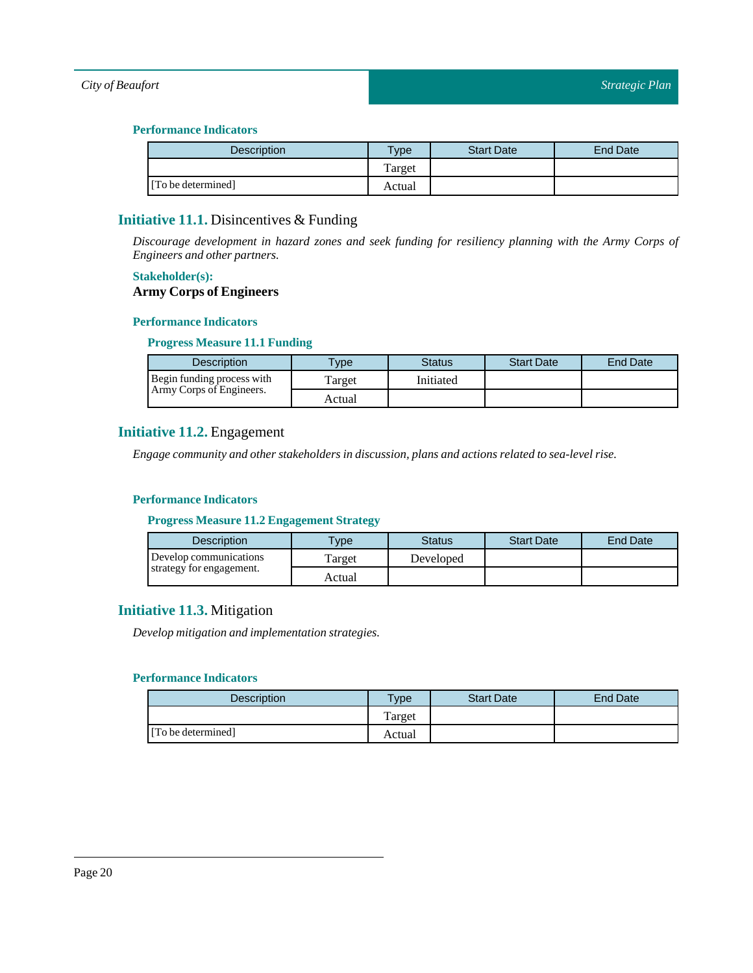#### **Performance Indicators**

| <b>Description</b> | $T$ ype | <b>Start Date</b> | End Date |
|--------------------|---------|-------------------|----------|
|                    | Target  |                   |          |
| [To be determined] | Actual  |                   |          |

# <span id="page-19-0"></span>**Initiative 11.1.** Disincentives & Funding

*Discourage development in hazard zones and seek funding for resiliency planning with the Army Corps of Engineers and other partners.*

#### **Stakeholder(s):**

#### **Army Corps of Engineers**

#### **Performance Indicators**

#### **Progress Measure 11.1 Funding**

| <b>Description</b>         | $T$ vpe | Status    | <b>Start Date</b> | End Date |
|----------------------------|---------|-----------|-------------------|----------|
| Begin funding process with | Target  | Initiated |                   |          |
| Army Corps of Engineers.   | Actual  |           |                   |          |

# <span id="page-19-1"></span>**Initiative 11.2.** Engagement

*Engage community and other stakeholders in discussion, plans and actions related to sea-level rise.*

#### **Performance Indicators**

#### **Progress Measure 11.2 Engagement Strategy**

| <b>Description</b>       | <b>VDe</b> | <b>Status</b> | <b>Start Date</b> | <b>End Date</b> |
|--------------------------|------------|---------------|-------------------|-----------------|
| Develop communications   | Target     | Developed     |                   |                 |
| strategy for engagement. | Actual     |               |                   |                 |

# <span id="page-19-2"></span>**Initiative 11.3.** Mitigation

*Develop mitigation and implementation strategies.*

| Description        | Type   | <b>Start Date</b> | End Date |
|--------------------|--------|-------------------|----------|
|                    | Target |                   |          |
| [To be determined] | Actual |                   |          |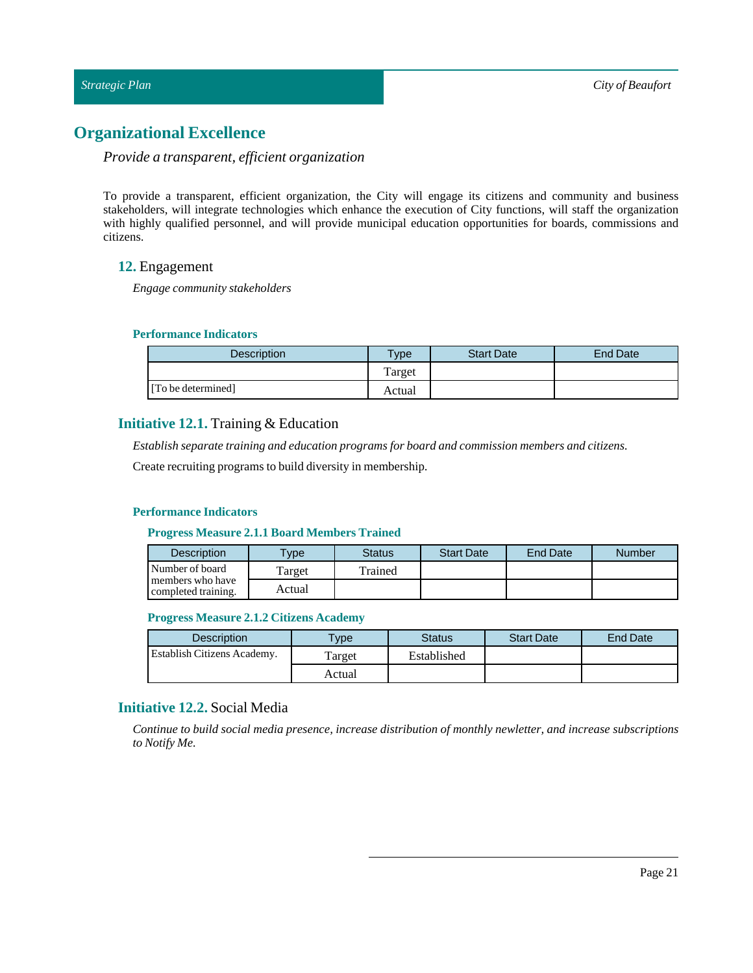# <span id="page-20-0"></span>**Organizational Excellence**

# *Provide a transparent, efficient organization*

To provide a transparent, efficient organization, the City will engage its citizens and community and business stakeholders, will integrate technologies which enhance the execution of City functions, will staff the organization with highly qualified personnel, and will provide municipal education opportunities for boards, commissions and citizens.

### <span id="page-20-1"></span>**12.** Engagement

*Engage community stakeholders*

#### **Performance Indicators**

| Description        | vpe    | <b>Start Date</b> | <b>End Date</b> |
|--------------------|--------|-------------------|-----------------|
|                    | Target |                   |                 |
| [To be determined] | Actual |                   |                 |

# <span id="page-20-2"></span>**Initiative 12.1.** Training & Education

*Establish separate training and education programs for board and commission members and citizens.*

Create recruiting programs to build diversity in membership.

#### **Performance Indicators**

#### **Progress Measure 2.1.1 Board Members Trained**

| <b>Description</b>                      | $T$ <sub>V</sub> pe | Status  | <b>Start Date</b> | End Date | <b>Number</b> |
|-----------------------------------------|---------------------|---------|-------------------|----------|---------------|
| Number of board                         | Target              | Trained |                   |          |               |
| members who have<br>completed training. | Actual              |         |                   |          |               |

#### **Progress Measure 2.1.2 Citizens Academy**

| <b>Description</b>                 | <b>Type</b> | <b>Status</b> | <b>Start Date</b> | End Date |
|------------------------------------|-------------|---------------|-------------------|----------|
| <b>Establish Citizens Academy.</b> | Target      | Established   |                   |          |
|                                    | Actual      |               |                   |          |

## <span id="page-20-3"></span>**Initiative 12.2.** Social Media

*Continue to build social media presence, increase distribution of monthly newletter, and increase subscriptions to Notify Me.*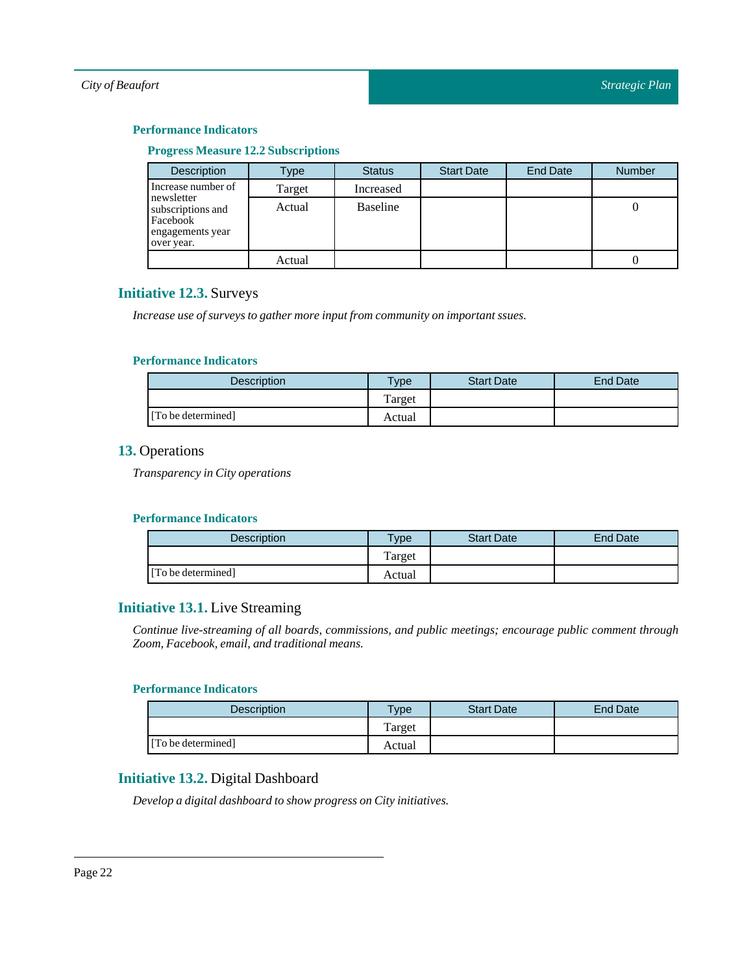#### **Progress Measure 12.2Subscriptions**

| <b>Description</b>                                                            | Type   | <b>Status</b>   | <b>Start Date</b> | <b>End Date</b> | <b>Number</b> |
|-------------------------------------------------------------------------------|--------|-----------------|-------------------|-----------------|---------------|
| Increase number of                                                            | Target | Increased       |                   |                 |               |
| newsletter<br>subscriptions and<br>Facebook<br>engagements year<br>over year. | Actual | <b>Baseline</b> |                   |                 |               |
|                                                                               | Actual |                 |                   |                 |               |

# <span id="page-21-0"></span>**Initiative 12.3.** Surveys

*Increase use of surveys to gather more inputfrom community on important ssues.*

#### **Performance Indicators**

| <b>Description</b> | $T$ <sub>ype</sub> | <b>Start Date</b> | End Date |
|--------------------|--------------------|-------------------|----------|
|                    | Target             |                   |          |
| [To be determined] | Actual             |                   |          |

# <span id="page-21-1"></span>**13.** Operations

*Transparency in City operations*

#### **Performance Indicators**

| Description        | $T$ <sub>V</sub> $pe$ | <b>Start Date</b> | End Date |
|--------------------|-----------------------|-------------------|----------|
|                    | Target                |                   |          |
| [To be determined] | Actual                |                   |          |

# <span id="page-21-2"></span>**Initiative 13.1.** Live Streaming

*Continue live-streaming of all boards, commissions, and public meetings; encourage public comment through Zoom, Facebook, email, and traditional means.*

#### **Performance Indicators**

| <b>Description</b> | <b>Type</b> | <b>Start Date</b> | <b>End Date</b> |
|--------------------|-------------|-------------------|-----------------|
|                    | Target      |                   |                 |
| [To be determined] | Actual      |                   |                 |

# <span id="page-21-3"></span>**Initiative 13.2.** Digital Dashboard

*Develop a digital dashboard to show progress on City initiatives.*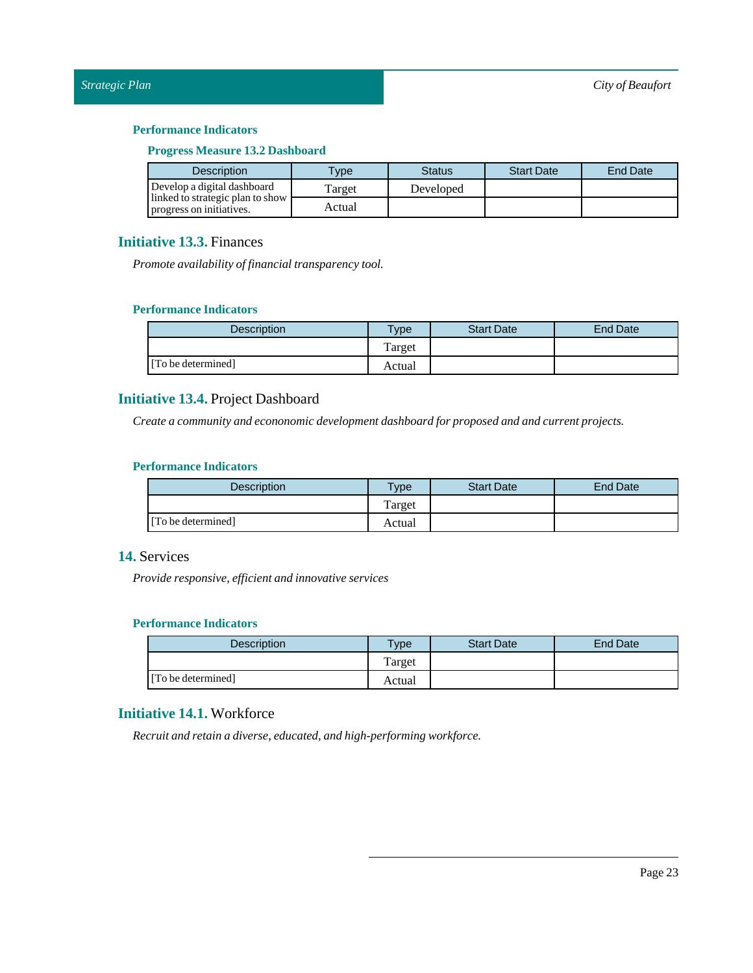#### **Progress Measure 13.2 Dashboard**

| <b>Description</b>                                           | <b>VDe</b> | Status    | <b>Start Date</b> | End Date |
|--------------------------------------------------------------|------------|-----------|-------------------|----------|
| Develop a digital dashboard                                  | Target     | Developed |                   |          |
| linked to strategic plan to show<br>progress on initiatives. | Actual     |           |                   |          |

# <span id="page-22-0"></span>**Initiative 13.3.** Finances

*Promote availability of financial transparency tool.* 

#### **Performance Indicators**

| Description        | Type    | <b>Start Date</b> | End Date |
|--------------------|---------|-------------------|----------|
|                    | l'arget |                   |          |
| [To be determined] | Actual  |                   |          |

# <span id="page-22-1"></span>**Initiative 13.4.** Project Dashboard

*Create a community and econonomic development dashboard for proposed and and current projects.*

#### **Performance Indicators**

| <b>Description</b> | <b>Type</b> | <b>Start Date</b> | End Date |
|--------------------|-------------|-------------------|----------|
|                    | Target      |                   |          |
| [To be determined] | Actual      |                   |          |

# <span id="page-22-2"></span>**14.** Services

*Provide responsive, efficient and innovative services*

#### **Performance Indicators**

| <b>Description</b> | Type   | <b>Start Date</b> | End Date |
|--------------------|--------|-------------------|----------|
|                    | Target |                   |          |
| [To be determined] | Actual |                   |          |

# <span id="page-22-3"></span>**Initiative 14.1.** Workforce

*Recruit and retain a diverse, educated, and high-performing workforce.*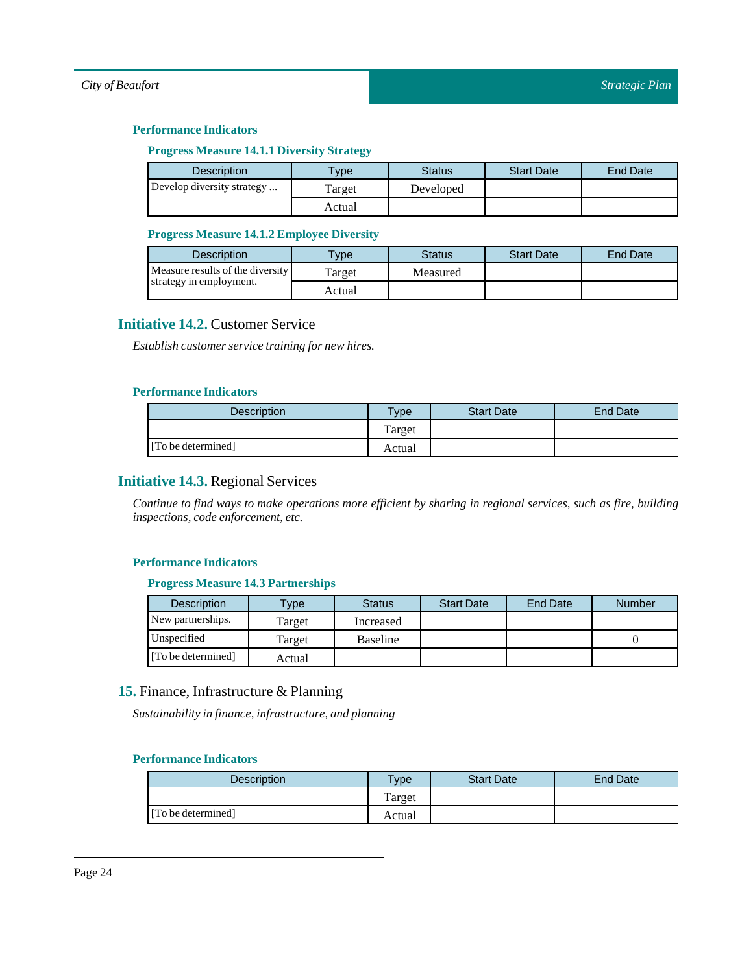#### **Progress Measure 14.1.1 DiversityStrategy**

| <b>Description</b>         | $v$ pe | Status    | <b>Start Date</b> | End Date |
|----------------------------|--------|-----------|-------------------|----------|
| Develop diversity strategy | Target | Developed |                   |          |
|                            | Actual |           |                   |          |

#### **Progress Measure 14.1.2 Employee Diversity**

| <b>Description</b>               | <b>VDe</b> | Status   | <b>Start Date</b> | End Date |
|----------------------------------|------------|----------|-------------------|----------|
| Measure results of the diversity | Target     | Measured |                   |          |
| strategy in employment.          | Actual     |          |                   |          |

# <span id="page-23-0"></span>**Initiative 14.2.** Customer Service

*Establish customer service training for new hires.*

#### **Performance Indicators**

| Description        | $v_{\rm p}$ | <b>Start Date</b> | <b>End Date</b> |
|--------------------|-------------|-------------------|-----------------|
|                    | Target      |                   |                 |
| [To be determined] | Actual      |                   |                 |

# <span id="page-23-1"></span>**Initiative 14.3.** Regional Services

Continue to find ways to make operations more efficient by sharing in regional services, such as fire, building *inspections, code enforcement, etc.*

#### **Performance Indicators**

#### **Progress Measure 14.3 Partnerships**

| <b>Description</b> | <b>Type</b> | <b>Status</b>   | <b>Start Date</b> | <b>End Date</b> | <b>Number</b> |
|--------------------|-------------|-----------------|-------------------|-----------------|---------------|
| New partnerships.  | Target      | Increased       |                   |                 |               |
| Unspecified        | Target      | <b>Baseline</b> |                   |                 |               |
| [To be determined] | Actual      |                 |                   |                 |               |

# <span id="page-23-2"></span>**15.** Finance, Infrastructure & Planning

*Sustainability in finance,infrastructure, and planning*

| <b>Description</b> | $T$ <sub>V</sub> pe | <b>Start Date</b> | End Date |
|--------------------|---------------------|-------------------|----------|
|                    | Target              |                   |          |
| [To be determined] | Actual              |                   |          |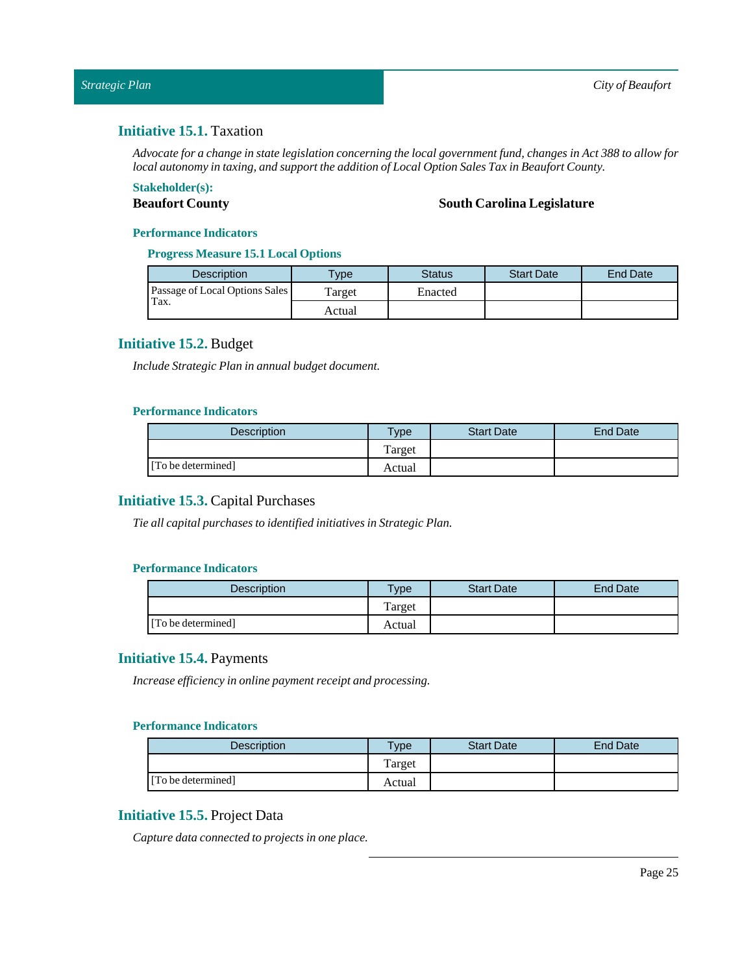# <span id="page-24-0"></span>**Initiative 15.1.** Taxation

Advocate for a change in state legislation concerning the local government fund, changes in Act 388 to allow for *local autonomy in taxing, and supportthe addition ofLocal Option SalesTax in Beaufort County.*

# **Stakeholder(s):**

#### **Beaufort County South Carolina Legislature**

#### **Performance Indicators**

#### **Progress Measure 15.1 Local Options**

| <b>Description</b>             | $T$ vpe | Status  | <b>Start Date</b> | <b>End Date</b> |
|--------------------------------|---------|---------|-------------------|-----------------|
| Passage of Local Options Sales | Target  | Enacted |                   |                 |
| Tax.                           | Actual  |         |                   |                 |

# <span id="page-24-1"></span>**Initiative 15.2.** Budget

*Include Strategic Plan in annual budget document.*

#### **Performance Indicators**

| Description        | $T$ ype | <b>Start Date</b> | End Date |
|--------------------|---------|-------------------|----------|
|                    | Target  |                   |          |
| [To be determined] | Actual  |                   |          |

# <span id="page-24-2"></span>**Initiative 15.3.** Capital Purchases

*Tie all capital purchases to identified initiatives in Strategic Plan.*

#### **Performance Indicators**

| <b>Description</b> | $T$ <sub>V</sub> $pe$ | <b>Start Date</b> | <b>End Date</b> |
|--------------------|-----------------------|-------------------|-----------------|
|                    | Target                |                   |                 |
| [To be determined] | Actual                |                   |                 |

### <span id="page-24-3"></span>**Initiative 15.4.** Payments

*Increase efficiency in online payment receipt and processing.*

#### **Performance Indicators**

| Description        | $v$ pe | <b>Start Date</b> | End Date |
|--------------------|--------|-------------------|----------|
|                    | Target |                   |          |
| [To be determined] | Actual |                   |          |

# <span id="page-24-4"></span>**Initiative 15.5.** Project Data

*Capture data connected to projects in one place.*